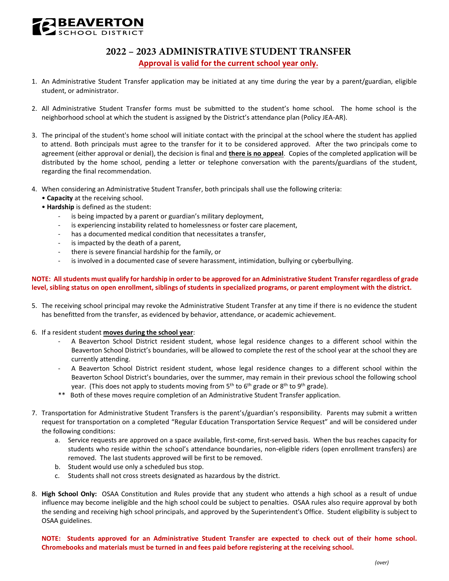

## **2022 – 2023 ADMINISTRATIVE STUDENT TRANSFER Approval is valid for the current school year only.**

- 1. An Administrative Student Transfer application may be initiated at any time during the year by a parent/guardian, eligible student, or administrator.
- 2. All Administrative Student Transfer forms must be submitted to the student's home school. The home school is the neighborhood school at which the student is assigned by the District's attendance plan (Policy JEA-AR).
- 3. The principal of the student's home school will initiate contact with the principal at the school where the student has applied to attend. Both principals must agree to the transfer for it to be considered approved. After the two principals come to agreement (either approval or denial), the decision is final and **there is no appeal**. Copies of the completed application will be distributed by the home school, pending a letter or telephone conversation with the parents/guardians of the student, regarding the final recommendation.
- 4. When considering an Administrative Student Transfer, both principals shall use the following criteria:
	- **Capacity** at the receiving school.
	- **Hardship** is defined as the student:
		- is being impacted by a parent or guardian's military deployment,
		- is experiencing instability related to homelessness or foster care placement,
		- has a documented medical condition that necessitates a transfer,
		- is impacted by the death of a parent,
		- there is severe financial hardship for the family, or
		- is involved in a documented case of severe harassment, intimidation, bullying or cyberbullying.

## **NOTE: All students must qualify for hardship in order to be approved for an Administrative Student Transfer regardless of grade level, sibling status on open enrollment, siblings of students in specialized programs, or parent employment with the district.**

- 5. The receiving school principal may revoke the Administrative Student Transfer at any time if there is no evidence the student has benefitted from the transfer, as evidenced by behavior, attendance, or academic achievement.
- 6. If a resident student **moves during the school year**:
	- - A Beaverton School District resident student, whose legal residence changes to a different school within the Beaverton School District's boundaries, will be allowed to complete the rest of the school year at the school they are currently attending.
	- - A Beaverton School District resident student, whose legal residence changes to a different school within the Beaverton School District's boundaries, over the summer, may remain in their previous school the following school year. (This does not apply to students moving from 5<sup>th</sup> to 6<sup>th</sup> grade or 8<sup>th</sup> to 9<sup>th</sup> grade).
	- $***$ Both of these moves require completion of an Administrative Student Transfer application.
- 7. Transportation for Administrative Student Transfers is the parent's/guardian's responsibility. Parents may submit a written request for transportation on a completed "Regular Education Transportation Service Request" and will be considered under the following conditions:
	- a. Service requests are approved on a space available, first-come, first-served basis. When the bus reaches capacity for students who reside within the school's attendance boundaries, non-eligible riders (open enrollment transfers) are removed. The last students approved will be first to be removed.
	- b. Student would use only a scheduled bus stop.
	- c. Students shall not cross streets designated as hazardous by the district.
- 8. **High School Only:** OSAA Constitution and Rules provide that any student who attends a high school as a result of undue influence may become ineligible and the high school could be subject to penalties. OSAA rules also require approval by both the sending and receiving high school principals, and approved by the Superintendent's Office. Student eligibility is subject to OSAA guidelines.

 **NOTE: Students approved for an Administrative Student Transfer are expected to check out of their home school. Chromebooks and materials must be turned in and fees paid before registering at the receiving school.**